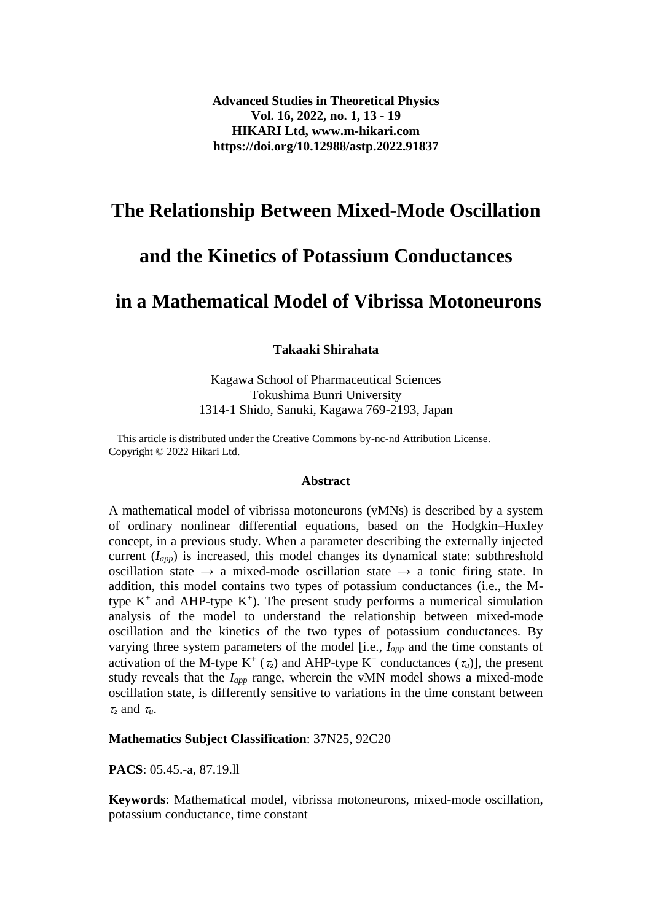## **The Relationship Between Mixed-Mode Oscillation**

# **and the Kinetics of Potassium Conductances**

## **in a Mathematical Model of Vibrissa Motoneurons**

**Takaaki Shirahata**

Kagawa School of Pharmaceutical Sciences Tokushima Bunri University 1314-1 Shido, Sanuki, Kagawa 769-2193, Japan

 This article is distributed under the Creative Commons by-nc-nd Attribution License. Copyright © 2022 Hikari Ltd.

#### **Abstract**

A mathematical model of vibrissa motoneurons (vMNs) is described by a system of ordinary nonlinear differential equations, based on the Hodgkin–Huxley concept, in a previous study. When a parameter describing the externally injected current (*Iapp*) is increased, this model changes its dynamical state: subthreshold oscillation state  $\rightarrow$  a mixed-mode oscillation state  $\rightarrow$  a tonic firing state. In addition, this model contains two types of potassium conductances (i.e., the Mtype  $K^+$  and AHP-type  $K^+$ ). The present study performs a numerical simulation analysis of the model to understand the relationship between mixed-mode oscillation and the kinetics of the two types of potassium conductances. By varying three system parameters of the model [i.e., *Iapp* and the time constants of activation of the M-type  $K^+(\tau_z)$  and AHP-type  $K^+$  conductances  $(\tau_u)$ ], the present study reveals that the *Iapp* range, wherein the vMN model shows a mixed-mode oscillation state, is differently sensitive to variations in the time constant between  $\tau$ <sub>z</sub> and  $\tau$ <sub>u</sub>.

#### **Mathematics Subject Classification**: 37N25, 92C20

**PACS**: 05.45.-a, 87.19.ll

**Keywords**: Mathematical model, vibrissa motoneurons, mixed-mode oscillation, potassium conductance, time constant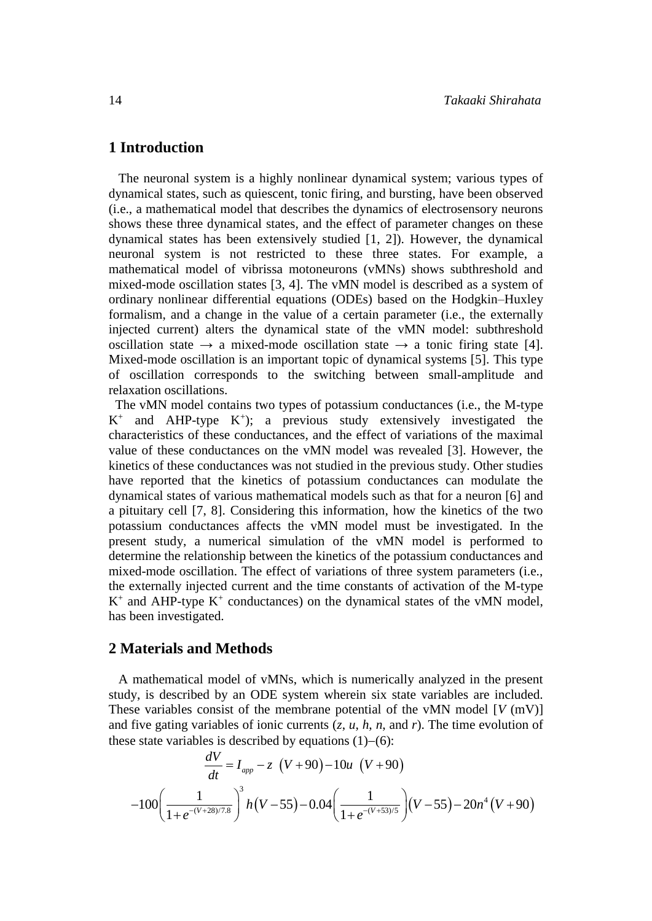#### **1 Introduction**

 The neuronal system is a highly nonlinear dynamical system; various types of dynamical states, such as quiescent, tonic firing, and bursting, have been observed (i.e., a mathematical model that describes the dynamics of electrosensory neurons shows these three dynamical states, and the effect of parameter changes on these dynamical states has been extensively studied [1, 2]). However, the dynamical neuronal system is not restricted to these three states. For example, a mathematical model of vibrissa motoneurons (vMNs) shows subthreshold and mixed-mode oscillation states [3, 4]. The vMN model is described as a system of ordinary nonlinear differential equations (ODEs) based on the Hodgkin–Huxley formalism, and a change in the value of a certain parameter (i.e., the externally injected current) alters the dynamical state of the vMN model: subthreshold oscillation state  $\rightarrow$  a mixed-mode oscillation state  $\rightarrow$  a tonic firing state [4]. Mixed-mode oscillation is an important topic of dynamical systems [5]. This type of oscillation corresponds to the switching between small-amplitude and relaxation oscillations.

 The vMN model contains two types of potassium conductances (i.e., the M-type  $K^+$ and AHP-type  $K^+$ ); a previous study extensively investigated the characteristics of these conductances, and the effect of variations of the maximal value of these conductances on the vMN model was revealed [3]. However, the kinetics of these conductances was not studied in the previous study. Other studies have reported that the kinetics of potassium conductances can modulate the dynamical states of various mathematical models such as that for a neuron [6] and a pituitary cell [7, 8]. Considering this information, how the kinetics of the two potassium conductances affects the vMN model must be investigated. In the present study, a numerical simulation of the vMN model is performed to determine the relationship between the kinetics of the potassium conductances and mixed-mode oscillation. The effect of variations of three system parameters (i.e., the externally injected current and the time constants of activation of the M-type  $K^+$  and AHP-type  $K^+$  conductances) on the dynamical states of the vMN model, has been investigated.

#### **2 Materials and Methods**

 A mathematical model of vMNs, which is numerically analyzed in the present study, is described by an ODE system wherein six state variables are included. These variables consist of the membrane potential of the vMN model [*V* (mV)] and five gating variables of ionic currents (*z*, *u*, *h*, *n*, and *r*). The time evolution of

these state variables is described by equations (1)–(6):  
\n
$$
\frac{dV}{dt} = I_{app} - z \ \left(V + 90\right) - 10u \ \left(V + 90\right)
$$
\n
$$
-100 \left(\frac{1}{1 + e^{-(V + 28)/7.8}}\right)^3 h \left(V - 55\right) - 0.04 \left(\frac{1}{1 + e^{-(V + 53)/5}}\right) \left(V - 55\right) - 20n^4 \left(V + 90\right)
$$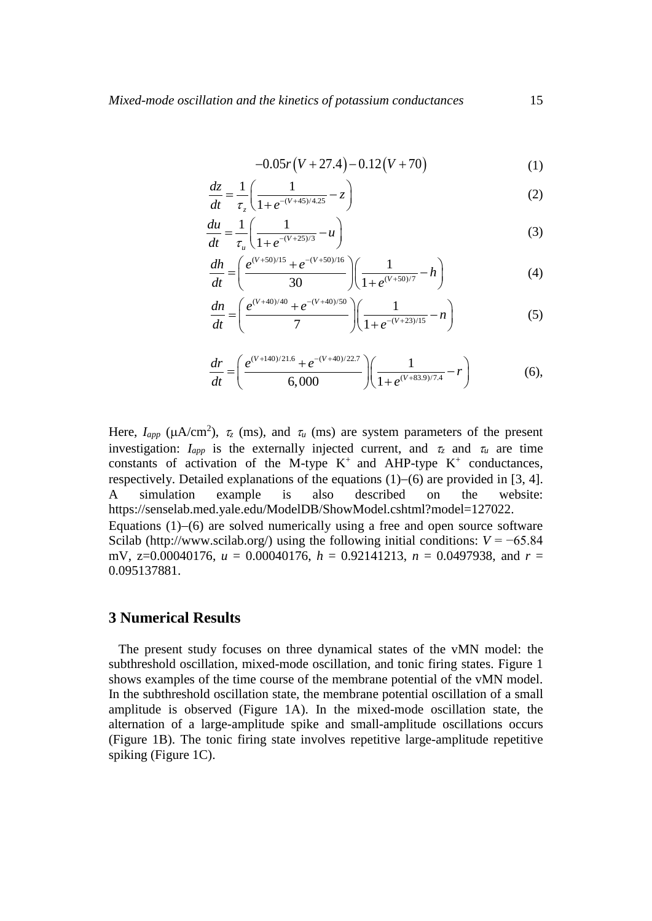$$
-0.05r(V+27.4)-0.12(V+70)
$$
 (1)

$$
\frac{dz}{dt} = \frac{1}{\tau_z} \left( \frac{1}{1 + e^{-(V + 45)/4.25}} - z \right)
$$
(2)

$$
\frac{du}{dt} = \frac{1}{\tau_u} \left( \frac{1}{1 + e^{-(V + 25)/3}} - u \right)
$$
(3)

$$
\frac{dh}{dt} = \left(\frac{e^{(V+50)/15} + e^{-(V+50)/16}}{30}\right) \left(\frac{1}{1 + e^{(V+50)/7}} - h\right)
$$
(4)

$$
\frac{dn}{dt} = \left(\frac{e^{(V+40)/40} + e^{-(V+40)/50}}{7}\right) \left(\frac{1}{1 + e^{-(V+23)/15}} - n\right)
$$
(5)

$$
\frac{dr}{dt} = \left(\frac{e^{(V+140)/21.6} + e^{-(V+40)/22.7}}{6,000}\right) \left(\frac{1}{1 + e^{(V+83.9)/7.4}} - r\right)
$$
(6),

Here,  $I_{app}$  ( $\mu A/cm^2$ ),  $\tau_z$  (ms), and  $\tau_u$  (ms) are system parameters of the present investigation:  $I_{app}$  is the externally injected current, and  $\tau_z$  and  $\tau_u$  are time constants of activation of the M-type  $K^+$  and AHP-type  $K^+$  conductances, respectively. Detailed explanations of the equations  $(1)-(6)$  are provided in [3, 4]. A simulation example is also described on the website: https://senselab.med.yale.edu/ModelDB/ShowModel.cshtml?model=127022. Equations  $(1)-(6)$  are solved numerically using a free and open source software Scilab [\(http://www.scilab.org/\)](http://www.scilab.org/) using the following initial conditions:  $V = -65.84$ mV, z=0.00040176, *u* = 0.00040176, *h* = 0.92141213, *n* = 0.0497938, and *r* = 0.095137881.

#### **3 Numerical Results**

 The present study focuses on three dynamical states of the vMN model: the subthreshold oscillation, mixed-mode oscillation, and tonic firing states. Figure 1 shows examples of the time course of the membrane potential of the vMN model. In the subthreshold oscillation state, the membrane potential oscillation of a small amplitude is observed (Figure 1A). In the mixed-mode oscillation state, the alternation of a large-amplitude spike and small-amplitude oscillations occurs (Figure 1B). The tonic firing state involves repetitive large-amplitude repetitive spiking (Figure 1C).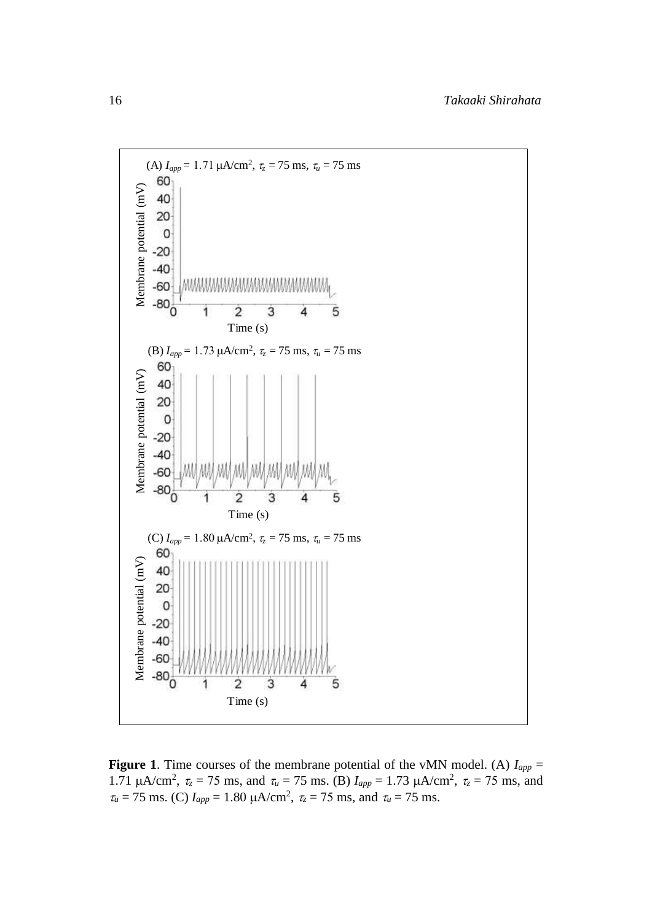

**Figure 1**. Time courses of the membrane potential of the vMN model. (A)  $I_{app}$  = 1.71  $\mu A/cm^2$ ,  $\tau_z = 75$  ms, and  $\tau_u = 75$  ms. (B)  $I_{app} = 1.73 \mu A/cm^2$ ,  $\tau_z = 75$  ms, and  $\tau_u = 75$  ms. (C)  $I_{app} = 1.80 \mu A/cm^2$ ,  $\tau_z = 75$  ms, and  $\tau_u = 75$  ms.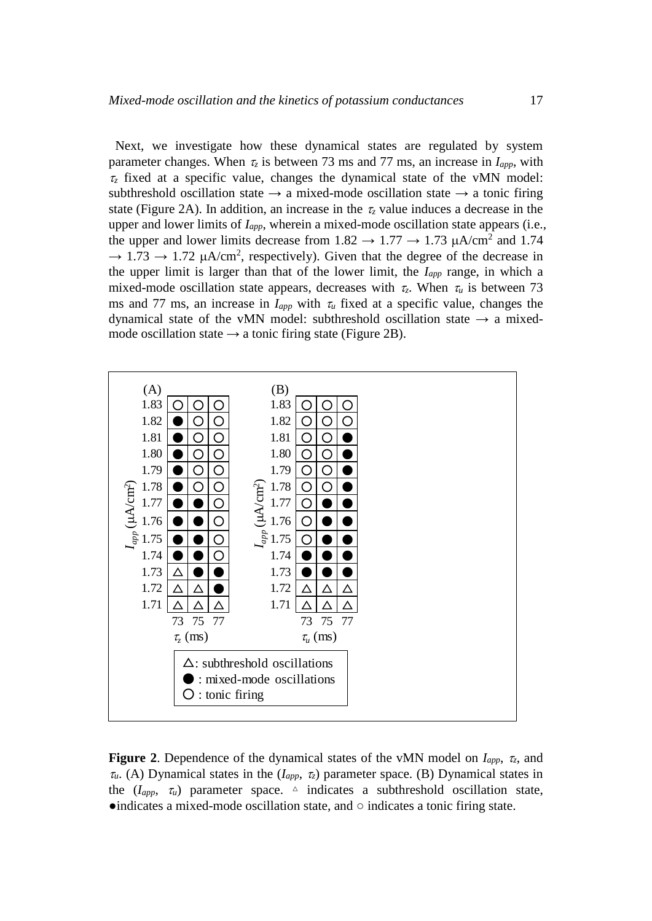Next, we investigate how these dynamical states are regulated by system parameter changes. When  $\tau_z$  is between 73 ms and 77 ms, an increase in  $I_{app}$ , with  $\tau$ <sub>z</sub> fixed at a specific value, changes the dynamical state of the vMN model: subthreshold oscillation state  $\rightarrow$  a mixed-mode oscillation state  $\rightarrow$  a tonic firing state (Figure 2A). In addition, an increase in the  $\tau$ <sub>z</sub> value induces a decrease in the upper and lower limits of *Iapp*, wherein a mixed-mode oscillation state appears (i.e., the upper and lower limits decrease from  $1.82 \rightarrow 1.77 \rightarrow 1.73 \mu A/cm^2$  and 1.74  $\rightarrow$  1.73  $\rightarrow$  1.72  $\mu$ A/cm<sup>2</sup>, respectively). Given that the degree of the decrease in the upper limit is larger than that of the lower limit, the *Iapp* range, in which a mixed-mode oscillation state appears, decreases with  $\tau_z$ . When  $\tau_u$  is between 73 ms and 77 ms, an increase in  $I_{app}$  with  $\tau_u$  fixed at a specific value, changes the dynamical state of the vMN model: subthreshold oscillation state  $\rightarrow$  a mixedmode oscillation state  $\rightarrow$  a tonic firing state (Figure 2B).



**Figure 2**. Dependence of the dynamical states of the vMN model on  $I_{app}$ ,  $\tau_z$ , and  $\tau_u$ . (A) Dynamical states in the  $(I_{app}, \tau_z)$  parameter space. (B) Dynamical states in the  $(I_{app}, \tau_u)$  parameter space.  $\Delta$  indicates a subthreshold oscillation state,  $\bullet$ indicates a mixed-mode oscillation state, and  $\circ$  indicates a tonic firing state.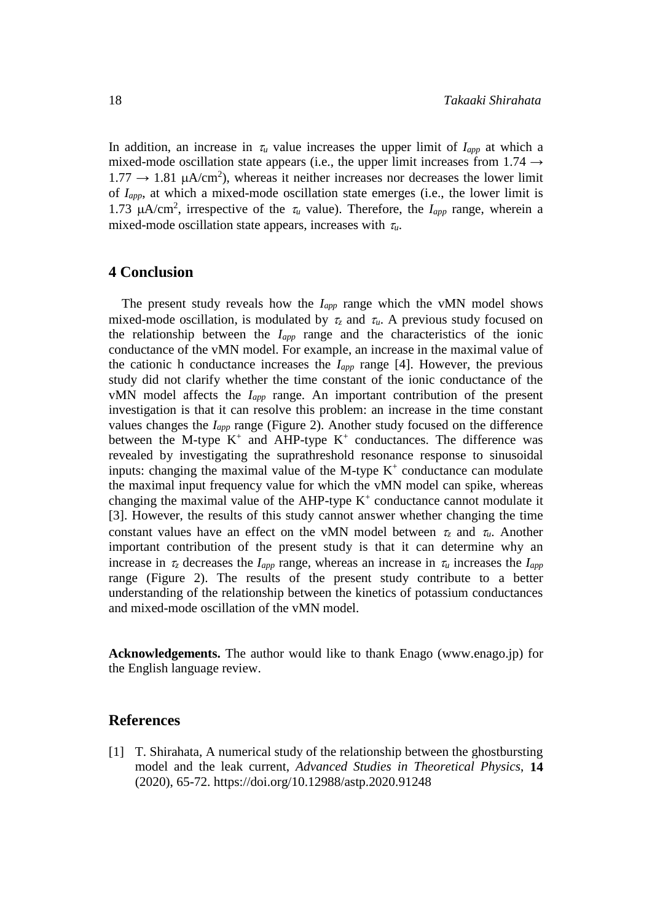In addition, an increase in  $\tau_u$  value increases the upper limit of  $I_{app}$  at which a mixed-mode oscillation state appears (i.e., the upper limit increases from  $1.74 \rightarrow$  $1.77 \rightarrow 1.81 \mu A/cm^2$ , whereas it neither increases nor decreases the lower limit of *Iapp*, at which a mixed-mode oscillation state emerges (i.e., the lower limit is 1.73  $\mu A/cm^2$ , irrespective of the  $\tau_u$  value). Therefore, the *I<sub>app</sub>* range, wherein a mixed-mode oscillation state appears, increases with  $\tau_{\mu}$ .

### **4 Conclusion**

The present study reveals how the *Iapp* range which the vMN model shows mixed-mode oscillation, is modulated by  $\tau_z$  and  $\tau_u$ . A previous study focused on the relationship between the *Iapp* range and the characteristics of the ionic conductance of the vMN model. For example, an increase in the maximal value of the cationic h conductance increases the *Iapp* range [4]. However, the previous study did not clarify whether the time constant of the ionic conductance of the vMN model affects the *Iapp* range. An important contribution of the present investigation is that it can resolve this problem: an increase in the time constant values changes the *Iapp* range (Figure 2). Another study focused on the difference between the M-type  $K^+$  and AHP-type  $K^+$  conductances. The difference was revealed by investigating the suprathreshold resonance response to sinusoidal inputs: changing the maximal value of the M-type  $K^+$  conductance can modulate the maximal input frequency value for which the vMN model can spike, whereas changing the maximal value of the AHP-type  $K^+$  conductance cannot modulate it [3]. However, the results of this study cannot answer whether changing the time constant values have an effect on the vMN model between  $\tau_z$  and  $\tau_u$ . Another important contribution of the present study is that it can determine why an increase in  $\tau_z$  decreases the  $I_{app}$  range, whereas an increase in  $\tau_u$  increases the  $I_{app}$ range (Figure 2). The results of the present study contribute to a better understanding of the relationship between the kinetics of potassium conductances and mixed-mode oscillation of the vMN model.

**Acknowledgements.** The author would like to thank Enago [\(www.enago.jp\)](http://www.enago.jp/) for the English language review.

#### **References**

[1] T. Shirahata, [A numerical study of the relationship between the ghostbursting](http://www.m-hikari.com/astp/astp2020/astp1-4-2020/p/shirahataASTP1-4-2020.pdf)  [model and the leak current,](http://www.m-hikari.com/astp/astp2020/astp1-4-2020/p/shirahataASTP1-4-2020.pdf) *Advanced Studies in Theoretical Physics*, **14** (2020), 65-72. <https://doi.org/10.12988/astp.2020.91248>